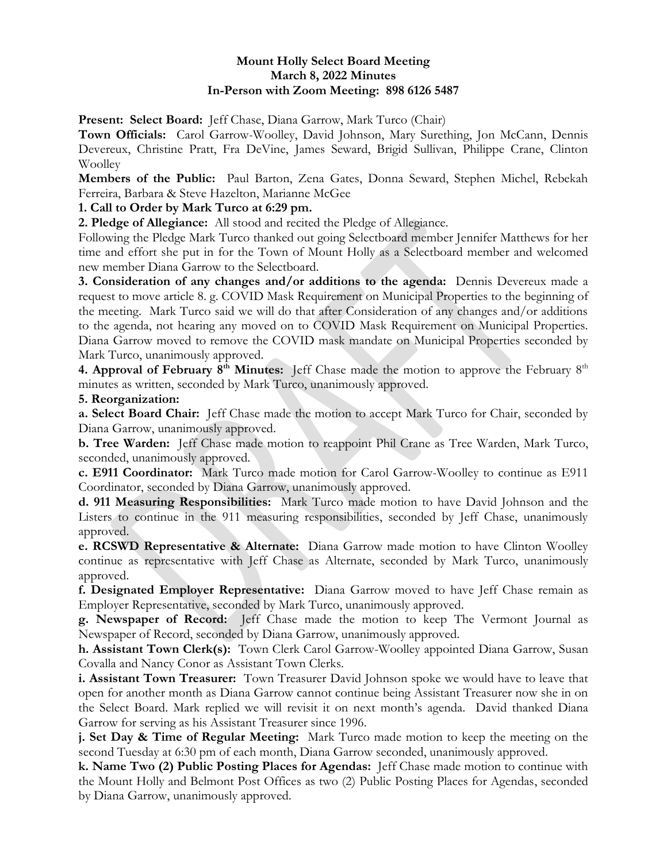## **Mount Holly Select Board Meeting March 8, 2022 Minutes In-Person with Zoom Meeting: 898 6126 5487**

**Present: Select Board:** Jeff Chase, Diana Garrow, Mark Turco (Chair)

**Town Officials:** Carol Garrow-Woolley, David Johnson, Mary Surething, Jon McCann, Dennis Devereux, Christine Pratt, Fra DeVine, James Seward, Brigid Sullivan, Philippe Crane, Clinton Woolley

**Members of the Public:** Paul Barton, Zena Gates, Donna Seward, Stephen Michel, Rebekah Ferreira, Barbara & Steve Hazelton, Marianne McGee

# **1. Call to Order by Mark Turco at 6:29 pm.**

**2. Pledge of Allegiance:** All stood and recited the Pledge of Allegiance.

Following the Pledge Mark Turco thanked out going Selectboard member Jennifer Matthews for her time and effort she put in for the Town of Mount Holly as a Selectboard member and welcomed new member Diana Garrow to the Selectboard.

**3. Consideration of any changes and/or additions to the agenda:** Dennis Devereux made a request to move article 8. g. COVID Mask Requirement on Municipal Properties to the beginning of the meeting. Mark Turco said we will do that after Consideration of any changes and/or additions to the agenda, not hearing any moved on to COVID Mask Requirement on Municipal Properties. Diana Garrow moved to remove the COVID mask mandate on Municipal Properties seconded by Mark Turco, unanimously approved.

**4. Approval of February 8<sup>th</sup> Minutes:** Jeff Chase made the motion to approve the February 8<sup>th</sup> minutes as written, seconded by Mark Turco, unanimously approved.

## **5. Reorganization:**

**a. Select Board Chair:** Jeff Chase made the motion to accept Mark Turco for Chair, seconded by Diana Garrow, unanimously approved.

**b. Tree Warden:** Jeff Chase made motion to reappoint Phil Crane as Tree Warden, Mark Turco, seconded, unanimously approved.

**c. E911 Coordinator:** Mark Turco made motion for Carol Garrow-Woolley to continue as E911 Coordinator, seconded by Diana Garrow, unanimously approved.

**d. 911 Measuring Responsibilities:** Mark Turco made motion to have David Johnson and the Listers to continue in the 911 measuring responsibilities, seconded by Jeff Chase, unanimously approved.

**e. RCSWD Representative & Alternate:** Diana Garrow made motion to have Clinton Woolley continue as representative with Jeff Chase as Alternate, seconded by Mark Turco, unanimously approved.

**f. Designated Employer Representative:** Diana Garrow moved to have Jeff Chase remain as Employer Representative, seconded by Mark Turco, unanimously approved.

**g. Newspaper of Record:** Jeff Chase made the motion to keep The Vermont Journal as Newspaper of Record, seconded by Diana Garrow, unanimously approved.

**h. Assistant Town Clerk(s):** Town Clerk Carol Garrow-Woolley appointed Diana Garrow, Susan Covalla and Nancy Conor as Assistant Town Clerks.

**i. Assistant Town Treasurer:** Town Treasurer David Johnson spoke we would have to leave that open for another month as Diana Garrow cannot continue being Assistant Treasurer now she in on the Select Board. Mark replied we will revisit it on next month's agenda. David thanked Diana Garrow for serving as his Assistant Treasurer since 1996.

**j. Set Day & Time of Regular Meeting:** Mark Turco made motion to keep the meeting on the second Tuesday at 6:30 pm of each month, Diana Garrow seconded, unanimously approved.

**k. Name Two (2) Public Posting Places for Agendas:** Jeff Chase made motion to continue with the Mount Holly and Belmont Post Offices as two (2) Public Posting Places for Agendas, seconded by Diana Garrow, unanimously approved.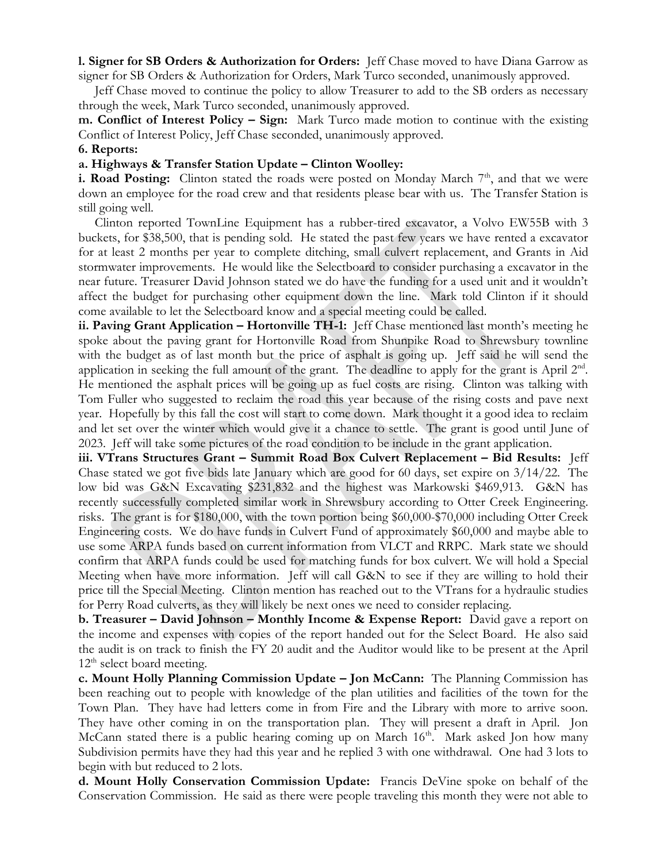**l. Signer for SB Orders & Authorization for Orders:** Jeff Chase moved to have Diana Garrow as signer for SB Orders & Authorization for Orders, Mark Turco seconded, unanimously approved.

 Jeff Chase moved to continue the policy to allow Treasurer to add to the SB orders as necessary through the week, Mark Turco seconded, unanimously approved.

**m. Conflict of Interest Policy – Sign:** Mark Turco made motion to continue with the existing Conflict of Interest Policy, Jeff Chase seconded, unanimously approved.

#### **6. Reports:**

### **a. Highways & Transfer Station Update – Clinton Woolley:**

**i. Road Posting:** Clinton stated the roads were posted on Monday March  $7<sup>th</sup>$ , and that we were down an employee for the road crew and that residents please bear with us. The Transfer Station is still going well.

 Clinton reported TownLine Equipment has a rubber-tired excavator, a Volvo EW55B with 3 buckets, for \$38,500, that is pending sold. He stated the past few years we have rented a excavator for at least 2 months per year to complete ditching, small culvert replacement, and Grants in Aid stormwater improvements. He would like the Selectboard to consider purchasing a excavator in the near future. Treasurer David Johnson stated we do have the funding for a used unit and it wouldn't affect the budget for purchasing other equipment down the line. Mark told Clinton if it should come available to let the Selectboard know and a special meeting could be called.

**ii. Paving Grant Application – Hortonville TH-1:** Jeff Chase mentioned last month's meeting he spoke about the paving grant for Hortonville Road from Shunpike Road to Shrewsbury townline with the budget as of last month but the price of asphalt is going up. Jeff said he will send the application in seeking the full amount of the grant. The deadline to apply for the grant is April  $2<sup>nd</sup>$ . He mentioned the asphalt prices will be going up as fuel costs are rising. Clinton was talking with Tom Fuller who suggested to reclaim the road this year because of the rising costs and pave next year. Hopefully by this fall the cost will start to come down. Mark thought it a good idea to reclaim and let set over the winter which would give it a chance to settle. The grant is good until June of 2023. Jeff will take some pictures of the road condition to be include in the grant application.

**iii. VTrans Structures Grant – Summit Road Box Culvert Replacement – Bid Results:** Jeff Chase stated we got five bids late January which are good for 60 days, set expire on 3/14/22. The low bid was G&N Excavating \$231,832 and the highest was Markowski \$469,913. G&N has recently successfully completed similar work in Shrewsbury according to Otter Creek Engineering. risks. The grant is for \$180,000, with the town portion being \$60,000-\$70,000 including Otter Creek Engineering costs. We do have funds in Culvert Fund of approximately \$60,000 and maybe able to use some ARPA funds based on current information from VLCT and RRPC. Mark state we should confirm that ARPA funds could be used for matching funds for box culvert. We will hold a Special Meeting when have more information. Jeff will call G&N to see if they are willing to hold their price till the Special Meeting. Clinton mention has reached out to the VTrans for a hydraulic studies for Perry Road culverts, as they will likely be next ones we need to consider replacing.

**b. Treasurer – David Johnson – Monthly Income & Expense Report:** David gave a report on the income and expenses with copies of the report handed out for the Select Board. He also said the audit is on track to finish the FY 20 audit and the Auditor would like to be present at the April  $12<sup>th</sup>$  select board meeting.

**c. Mount Holly Planning Commission Update – Jon McCann:** The Planning Commission has been reaching out to people with knowledge of the plan utilities and facilities of the town for the Town Plan. They have had letters come in from Fire and the Library with more to arrive soon. They have other coming in on the transportation plan. They will present a draft in April. Jon McCann stated there is a public hearing coming up on March 16<sup>th</sup>. Mark asked Jon how many Subdivision permits have they had this year and he replied 3 with one withdrawal. One had 3 lots to begin with but reduced to 2 lots.

**d. Mount Holly Conservation Commission Update:** Francis DeVine spoke on behalf of the Conservation Commission. He said as there were people traveling this month they were not able to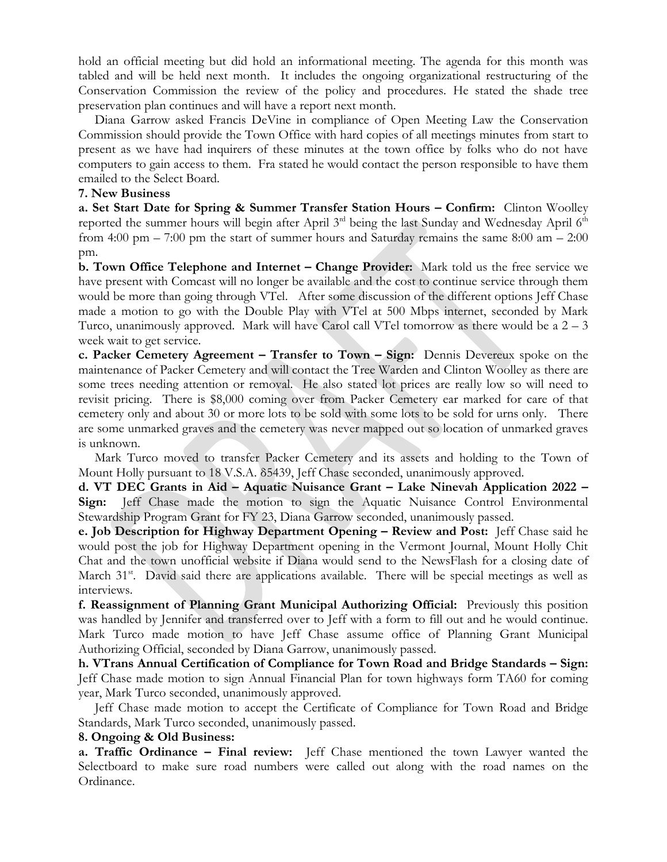hold an official meeting but did hold an informational meeting. The agenda for this month was tabled and will be held next month. It includes the ongoing organizational restructuring of the Conservation Commission the review of the policy and procedures. He stated the shade tree preservation plan continues and will have a report next month.

 Diana Garrow asked Francis DeVine in compliance of Open Meeting Law the Conservation Commission should provide the Town Office with hard copies of all meetings minutes from start to present as we have had inquirers of these minutes at the town office by folks who do not have computers to gain access to them. Fra stated he would contact the person responsible to have them emailed to the Select Board.

### **7. New Business**

**a. Set Start Date for Spring & Summer Transfer Station Hours – Confirm:** Clinton Woolley reported the summer hours will begin after April 3<sup>rd</sup> being the last Sunday and Wednesday April 6<sup>th</sup> from 4:00 pm – 7:00 pm the start of summer hours and Saturday remains the same  $8:00$  am –  $2:00$ pm.

**b. Town Office Telephone and Internet – Change Provider:** Mark told us the free service we have present with Comcast will no longer be available and the cost to continue service through them would be more than going through VTel. After some discussion of the different options Jeff Chase made a motion to go with the Double Play with VTel at 500 Mbps internet, seconded by Mark Turco, unanimously approved. Mark will have Carol call VTel tomorrow as there would be a  $2 - 3$ week wait to get service.

**c. Packer Cemetery Agreement – Transfer to Town – Sign:** Dennis Devereux spoke on the maintenance of Packer Cemetery and will contact the Tree Warden and Clinton Woolley as there are some trees needing attention or removal. He also stated lot prices are really low so will need to revisit pricing. There is \$8,000 coming over from Packer Cemetery ear marked for care of that cemetery only and about 30 or more lots to be sold with some lots to be sold for urns only. There are some unmarked graves and the cemetery was never mapped out so location of unmarked graves is unknown.

 Mark Turco moved to transfer Packer Cemetery and its assets and holding to the Town of Mount Holly pursuant to 18 V.S.A. δ5439, Jeff Chase seconded, unanimously approved.

**d. VT DEC Grants in Aid – Aquatic Nuisance Grant – Lake Ninevah Application 2022 – Sign:** Jeff Chase made the motion to sign the Aquatic Nuisance Control Environmental Stewardship Program Grant for FY 23, Diana Garrow seconded, unanimously passed.

**e. Job Description for Highway Department Opening – Review and Post:** Jeff Chase said he would post the job for Highway Department opening in the Vermont Journal, Mount Holly Chit Chat and the town unofficial website if Diana would send to the NewsFlash for a closing date of March 31<sup>st</sup>. David said there are applications available. There will be special meetings as well as interviews.

**f. Reassignment of Planning Grant Municipal Authorizing Official:** Previously this position was handled by Jennifer and transferred over to Jeff with a form to fill out and he would continue. Mark Turco made motion to have Jeff Chase assume office of Planning Grant Municipal Authorizing Official, seconded by Diana Garrow, unanimously passed.

**h. VTrans Annual Certification of Compliance for Town Road and Bridge Standards – Sign:**  Jeff Chase made motion to sign Annual Financial Plan for town highways form TA60 for coming year, Mark Turco seconded, unanimously approved.

 Jeff Chase made motion to accept the Certificate of Compliance for Town Road and Bridge Standards, Mark Turco seconded, unanimously passed.

### **8. Ongoing & Old Business:**

**a. Traffic Ordinance – Final review:** Jeff Chase mentioned the town Lawyer wanted the Selectboard to make sure road numbers were called out along with the road names on the Ordinance.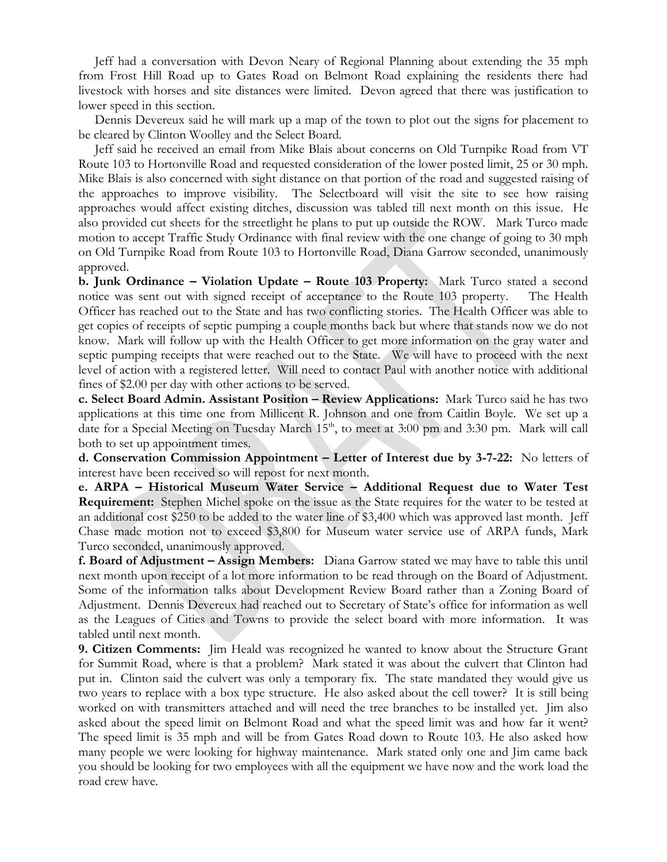Jeff had a conversation with Devon Neary of Regional Planning about extending the 35 mph from Frost Hill Road up to Gates Road on Belmont Road explaining the residents there had livestock with horses and site distances were limited. Devon agreed that there was justification to lower speed in this section.

 Dennis Devereux said he will mark up a map of the town to plot out the signs for placement to be cleared by Clinton Woolley and the Select Board.

 Jeff said he received an email from Mike Blais about concerns on Old Turnpike Road from VT Route 103 to Hortonville Road and requested consideration of the lower posted limit, 25 or 30 mph. Mike Blais is also concerned with sight distance on that portion of the road and suggested raising of the approaches to improve visibility. The Selectboard will visit the site to see how raising approaches would affect existing ditches, discussion was tabled till next month on this issue. He also provided cut sheets for the streetlight he plans to put up outside the ROW. Mark Turco made motion to accept Traffic Study Ordinance with final review with the one change of going to 30 mph on Old Turnpike Road from Route 103 to Hortonville Road, Diana Garrow seconded, unanimously approved.

**b. Junk Ordinance – Violation Update – Route 103 Property:** Mark Turco stated a second notice was sent out with signed receipt of acceptance to the Route 103 property. The Health Officer has reached out to the State and has two conflicting stories. The Health Officer was able to get copies of receipts of septic pumping a couple months back but where that stands now we do not know. Mark will follow up with the Health Officer to get more information on the gray water and septic pumping receipts that were reached out to the State. We will have to proceed with the next level of action with a registered letter. Will need to contact Paul with another notice with additional fines of \$2.00 per day with other actions to be served.

**c. Select Board Admin. Assistant Position – Review Applications:** Mark Turco said he has two applications at this time one from Millicent R. Johnson and one from Caitlin Boyle. We set up a date for a Special Meeting on Tuesday March  $15<sup>th</sup>$ , to meet at 3:00 pm and 3:30 pm. Mark will call both to set up appointment times.

**d. Conservation Commission Appointment – Letter of Interest due by 3-7-22:** No letters of interest have been received so will repost for next month.

**e. ARPA – Historical Museum Water Service – Additional Request due to Water Test Requirement:** Stephen Michel spoke on the issue as the State requires for the water to be tested at an additional cost \$250 to be added to the water line of \$3,400 which was approved last month. Jeff Chase made motion not to exceed \$3,800 for Museum water service use of ARPA funds, Mark Turco seconded, unanimously approved.

**f. Board of Adjustment – Assign Members:** Diana Garrow stated we may have to table this until next month upon receipt of a lot more information to be read through on the Board of Adjustment. Some of the information talks about Development Review Board rather than a Zoning Board of Adjustment. Dennis Devereux had reached out to Secretary of State's office for information as well as the Leagues of Cities and Towns to provide the select board with more information. It was tabled until next month.

**9. Citizen Comments:** Jim Heald was recognized he wanted to know about the Structure Grant for Summit Road, where is that a problem? Mark stated it was about the culvert that Clinton had put in. Clinton said the culvert was only a temporary fix. The state mandated they would give us two years to replace with a box type structure. He also asked about the cell tower? It is still being worked on with transmitters attached and will need the tree branches to be installed yet. Jim also asked about the speed limit on Belmont Road and what the speed limit was and how far it went? The speed limit is 35 mph and will be from Gates Road down to Route 103. He also asked how many people we were looking for highway maintenance. Mark stated only one and Jim came back you should be looking for two employees with all the equipment we have now and the work load the road crew have.